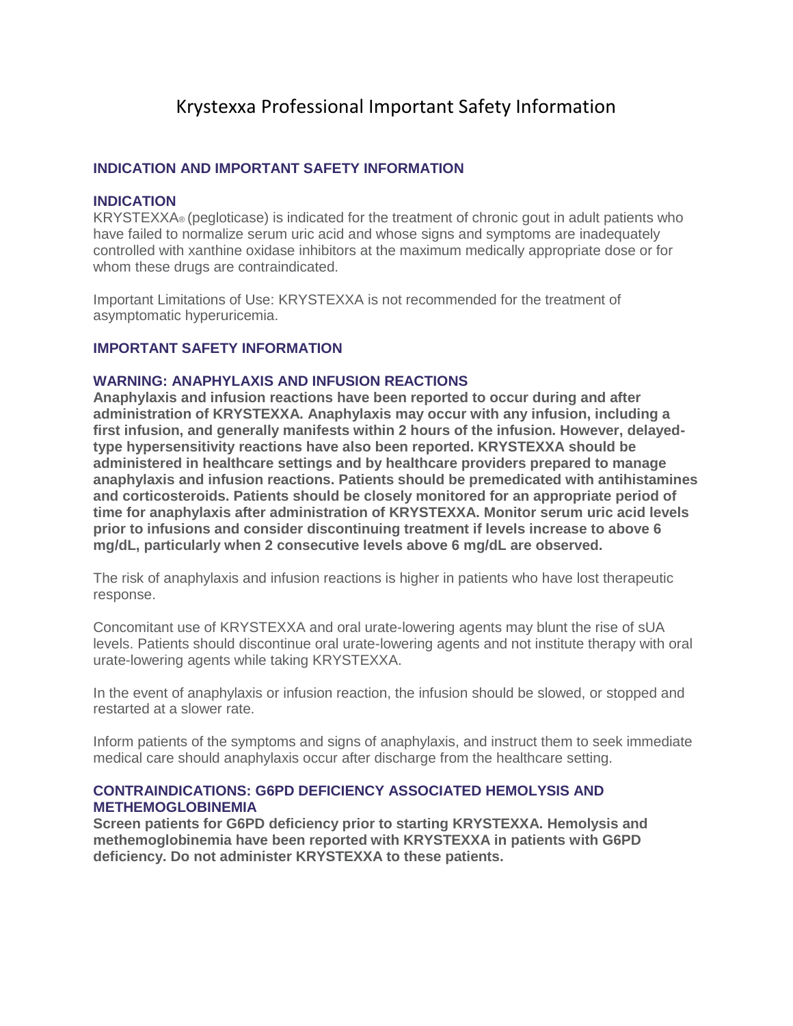# Krystexxa Professional Important Safety Information

## **INDICATION AND IMPORTANT SAFETY INFORMATION**

#### **INDICATION**

KRYSTEXXA® (pegloticase) is indicated for the treatment of chronic gout in adult patients who have failed to normalize serum uric acid and whose signs and symptoms are inadequately controlled with xanthine oxidase inhibitors at the maximum medically appropriate dose or for whom these drugs are contraindicated.

Important Limitations of Use: KRYSTEXXA is not recommended for the treatment of asymptomatic hyperuricemia.

### **IMPORTANT SAFETY INFORMATION**

#### **WARNING: ANAPHYLAXIS AND INFUSION REACTIONS**

**Anaphylaxis and infusion reactions have been reported to occur during and after administration of KRYSTEXXA. Anaphylaxis may occur with any infusion, including a first infusion, and generally manifests within 2 hours of the infusion. However, delayedtype hypersensitivity reactions have also been reported. KRYSTEXXA should be administered in healthcare settings and by healthcare providers prepared to manage anaphylaxis and infusion reactions. Patients should be premedicated with antihistamines and corticosteroids. Patients should be closely monitored for an appropriate period of time for anaphylaxis after administration of KRYSTEXXA. Monitor serum uric acid levels prior to infusions and consider discontinuing treatment if levels increase to above 6 mg/dL, particularly when 2 consecutive levels above 6 mg/dL are observed.**

The risk of anaphylaxis and infusion reactions is higher in patients who have lost therapeutic response.

Concomitant use of KRYSTEXXA and oral urate-lowering agents may blunt the rise of sUA levels. Patients should discontinue oral urate-lowering agents and not institute therapy with oral urate-lowering agents while taking KRYSTEXXA.

In the event of anaphylaxis or infusion reaction, the infusion should be slowed, or stopped and restarted at a slower rate.

Inform patients of the symptoms and signs of anaphylaxis, and instruct them to seek immediate medical care should anaphylaxis occur after discharge from the healthcare setting.

# **CONTRAINDICATIONS: G6PD DEFICIENCY ASSOCIATED HEMOLYSIS AND METHEMOGLOBINEMIA**

**Screen patients for G6PD deficiency prior to starting KRYSTEXXA. Hemolysis and methemoglobinemia have been reported with KRYSTEXXA in patients with G6PD deficiency. Do not administer KRYSTEXXA to these patients.**